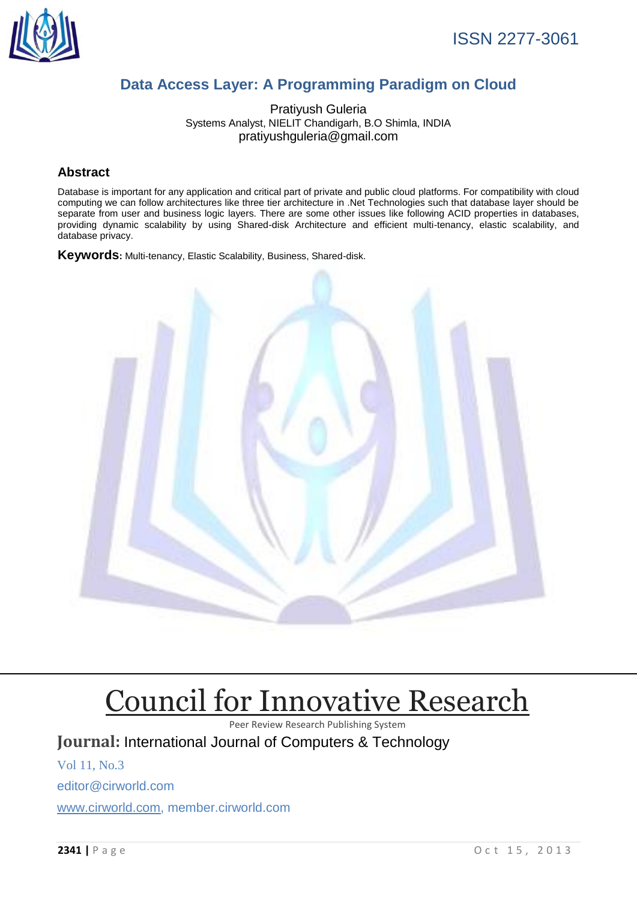

# **Data Access Layer: A Programming Paradigm on Cloud**

Pratiyush Guleria Systems Analyst, NIELIT Chandigarh, B.O Shimla, INDIA pratiyushguleria@gmail.com

#### **Abstract**

Database is important for any application and critical part of private and public cloud platforms. For compatibility with cloud computing we can follow architectures like three tier architecture in .Net Technologies such that database layer should be separate from user and business logic layers. There are some other issues like following ACID properties in databases, providing dynamic scalability by using Shared-disk Architecture and efficient multi-tenancy, elastic scalability, and database privacy.

**Keywords:** Multi-tenancy, Elastic Scalability, Business, Shared-disk.



# [Council for Innovative Research](http://member.cirworld.com/)

Peer Review Research Publishing System

**Journal:** International Journal of Computers & Technology

Vol 11, No.3

editor@cirworld.com

[www.cirworld.com, me](http://www.cirworld.com/)mber.cirworld.com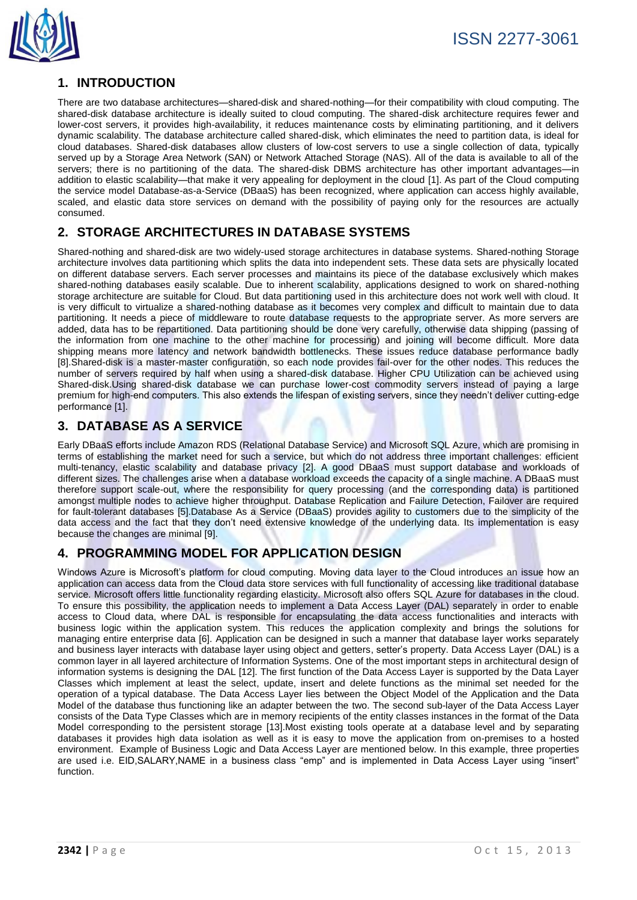

# **1. INTRODUCTION**

There are two database architectures—shared-disk and shared-nothing—for their compatibility with cloud computing. The shared-disk database architecture is ideally suited to cloud computing. The shared-disk architecture requires fewer and lower-cost servers, it provides high-availability, it reduces maintenance costs by eliminating partitioning, and it delivers dynamic scalability. The database architecture called shared-disk, which eliminates the need to partition data, is ideal for cloud databases. Shared-disk databases allow clusters of low-cost servers to use a single collection of data, typically served up by a Storage Area Network (SAN) or Network Attached Storage (NAS). All of the data is available to all of the servers; there is no partitioning of the data. The shared-disk DBMS architecture has other important advantages—in addition to elastic scalability—that make it very appealing for deployment in the cloud [1]. As part of the Cloud computing the service model Database-as-a-Service (DBaaS) has been recognized, where application can access highly available, scaled, and elastic data store services on demand with the possibility of paying only for the resources are actually consumed.

## **2. STORAGE ARCHITECTURES IN DATABASE SYSTEMS**

Shared-nothing and shared-disk are two widely-used storage architectures in database systems. Shared-nothing Storage architecture involves data partitioning which splits the data into independent sets. These data sets are physically located on different database servers. Each server processes and maintains its piece of the database exclusively which makes shared-nothing databases easily scalable. Due to inherent scalability, applications designed to work on shared-nothing storage architecture are suitable for Cloud. But data partitioning used in this architecture does not work well with cloud. It is very difficult to virtualize a shared-nothing database as it becomes very complex and difficult to maintain due to data partitioning. It needs a piece of middleware to route database requests to the appropriate server. As more servers are added, data has to be repartitioned. Data partitioning should be done very carefully, otherwise data shipping (passing of the information from one machine to the other machine for processing) and joining will become difficult. More data shipping means more latency and network bandwidth bottlenecks. These issues reduce database performance badly [8].Shared-disk is a master-master configuration, so each node provides fail-over for the other nodes. This reduces the number of servers required by half when using a shared-disk database. Higher CPU Utilization can be achieved using Shared-disk.Using shared-disk database we can purchase lower-cost commodity servers instead of paying a large premium for high-end computers. This also extends the lifespan of existing servers, since they needn't deliver cutting-edge performance [1].

#### **3. DATABASE AS A SERVICE**

Early DBaaS efforts include Amazon RDS (Relational Database Service) and Microsoft SQL Azure, which are promising in terms of establishing the market need for such a service, but which do not address three important challenges: efficient multi-tenancy, elastic scalability and database privacy [2]. A good DBaaS must support database and workloads of different sizes. The challenges arise when a database workload exceeds the capacity of a single machine. A DBaaS must therefore support scale-out, where the responsibility for query processing (and the corresponding data) is partitioned amongst multiple nodes to achieve higher throughput. Database Replication and Failure Detection, Failover are required for fault-tolerant databases [5].Database As a Service (DBaaS) provides agility to customers due to the simplicity of the data access and the fact that they don't need extensive knowledge of the underlying data. Its implementation is easy because the changes are minimal [9].

# **4. PROGRAMMING MODEL FOR APPLICATION DESIGN**

Windows Azure is Microsoft's platform for cloud computing. Moving data layer to the Cloud introduces an issue how an application can access data from the Cloud data store services with full functionality of accessing like traditional database service. Microsoft offers little functionality regarding elasticity. Microsoft also offers SQL Azure for databases in the cloud. To ensure this possibility, the application needs to implement a Data Access Layer (DAL) separately in order to enable access to Cloud data, where DAL is responsible for encapsulating the data access functionalities and interacts with business logic within the application system. This reduces the application complexity and brings the solutions for managing entire enterprise data [6]. Application can be designed in such a manner that database layer works separately and business layer interacts with database layer using object and getters, setter's property. Data Access Layer (DAL) is a common layer in all layered architecture of Information Systems. One of the most important steps in architectural design of information systems is designing the DAL [12]. The first function of the Data Access Layer is supported by the Data Layer Classes which implement at least the select, update, insert and delete functions as the minimal set needed for the operation of a typical database. The Data Access Layer lies between the Object Model of the Application and the Data Model of the database thus functioning like an adapter between the two. The second sub-layer of the Data Access Layer consists of the Data Type Classes which are in memory recipients of the entity classes instances in the format of the Data Model corresponding to the persistent storage [13].Most existing tools operate at a database level and by separating databases it provides high data isolation as well as it is easy to move the application from on-premises to a hosted environment. Example of Business Logic and Data Access Layer are mentioned below. In this example, three properties are used i.e. EID,SALARY,NAME in a business class "emp" and is implemented in Data Access Layer using "insert" function.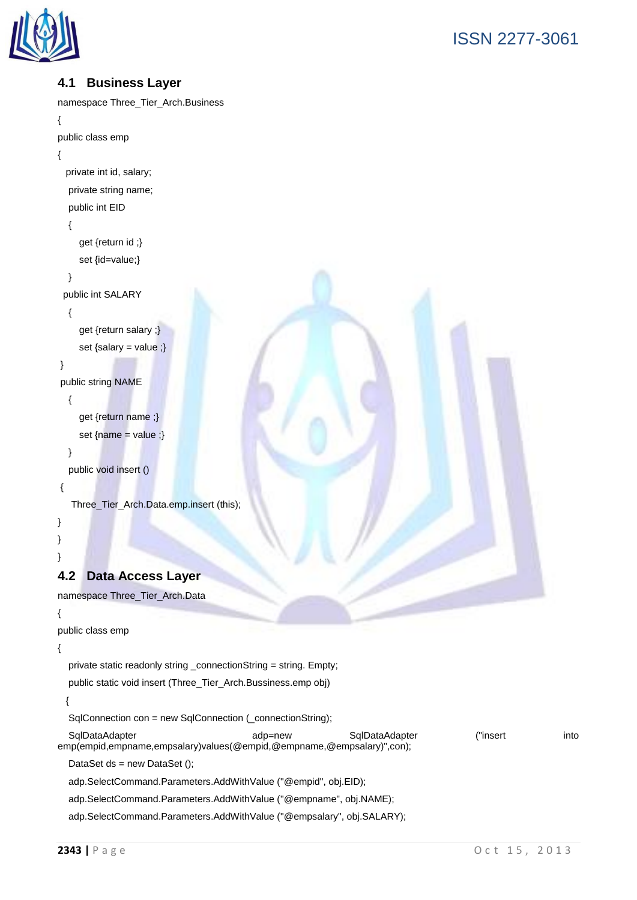

# **4.1 Business Layer**

```
namespace Three_Tier_Arch.Business
{
public class emp
{
  private int id, salary;
   private string name;
   public int EID
   {
     get {return id ;}
     set {id=value;}
   }
  public int SALARY
   {
     get {return salary ;}
     set {salary = value ;}
}
public string NAME
   {
     get {return name ;}
    set {name = value ;} }
   public void insert ()
{
   Three_Tier_Arch.Data.emp.insert (this);
}
}
}
4.2 Data Access Layer
namespace Three_Tier_Arch.Data
{
public class emp
{
   private static readonly string _connectionString = string. Empty;
   public static void insert (Three_Tier_Arch.Bussiness.emp obj)
  {
   SqlConnection con = new SqlConnection (_connectionString);
   SqlDataAdapter adp=new SqlDataAdapter ("insert into 
emp(empid,empname,empsalary)values(@empid,@empname,@empsalary)",con);
  DataSet ds = new DataSet ();
```
adp.SelectCommand.Parameters.AddWithValue ("@empid", obj.EID);

adp.SelectCommand.Parameters.AddWithValue ("@empname", obj.NAME);

adp.SelectCommand.Parameters.AddWithValue ("@empsalary", obj.SALARY);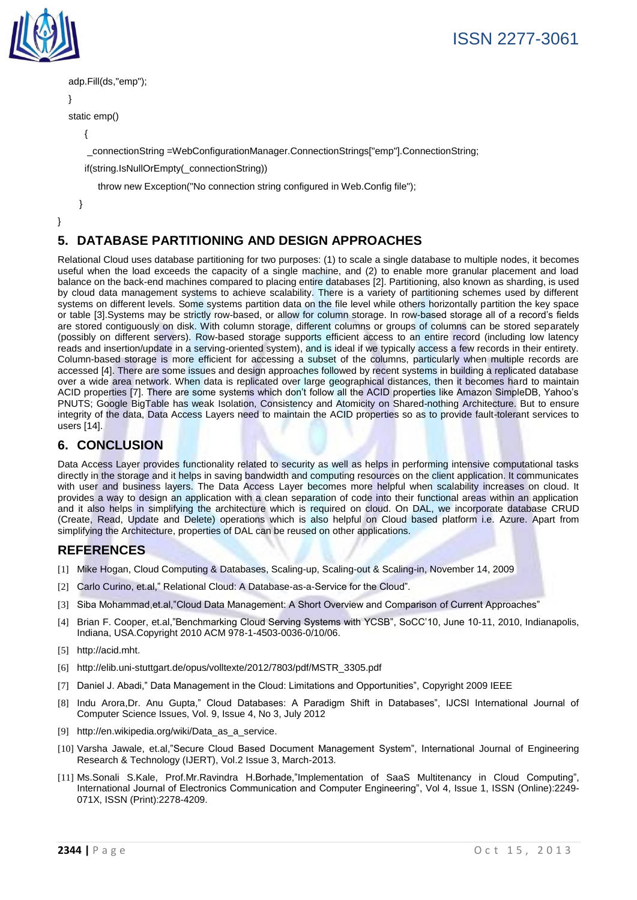



```
 adp.Fill(ds,"emp");
```

```
 }
```
static emp()

```
 {
```
\_connectionString =WebConfigurationManager.ConnectionStrings["emp"].ConnectionString;

if(string.IsNullOrEmpty(\_connectionString))

throw new Exception("No connection string configured in Web.Config file");

}

```
}
```
# **5. DATABASE PARTITIONING AND DESIGN APPROACHES**

Relational Cloud uses database partitioning for two purposes: (1) to scale a single database to multiple nodes, it becomes useful when the load exceeds the capacity of a single machine, and (2) to enable more granular placement and load balance on the back-end machines compared to placing entire databases [2]. Partitioning, also known as sharding, is used by cloud data management systems to achieve scalability. There is a variety of partitioning schemes used by different systems on different levels. Some systems partition data on the file level while others horizontally partition the key space or table [3].Systems may be strictly row-based, or allow for column storage. In row-based storage all of a record's fields are stored contiguously on disk. With column storage, different columns or groups of columns can be stored separately (possibly on different servers). Row-based storage supports efficient access to an entire record (including low latency reads and insertion/update in a serving-oriented system), and is ideal if we typically access a few records in their entirety. Column-based storage is more efficient for accessing a subset of the columns, particularly when multiple records are accessed [4]. There are some issues and design approaches followed by recent systems in building a replicated database over a wide area network. When data is replicated over large geographical distances, then it becomes hard to maintain ACID properties [7]. There are some systems which don't follow all the ACID properties like Amazon SimpleDB, Yahoo's PNUTS; Google BigTable has weak Isolation, Consistency and Atomicity on Shared-nothing Architecture. But to ensure integrity of the data, Data Access Layers need to maintain the ACID properties so as to provide fault-tolerant services to users [14].

### **6. CONCLUSION**

Data Access Layer provides functionality related to security as well as helps in performing intensive computational tasks directly in the storage and it helps in saving bandwidth and computing resources on the client application. It communicates with user and business layers. The Data Access Layer becomes more helpful when scalability increases on cloud. It provides a way to design an application with a clean separation of code into their functional areas within an application and it also helps in simplifying the architecture which is required on cloud. On DAL, we incorporate database CRUD (Create, Read, Update and Delete) operations which is also helpful on Cloud based platform i.e. Azure. Apart from simplifying the Architecture, properties of DAL can be reused on other applications.

#### **REFERENCES**

- [1] Mike Hogan, Cloud Computing & Databases, Scaling-up, Scaling-out & Scaling-in, November 14, 2009
- [2] Carlo Curino, et.al," Relational Cloud: A Database-as-a-Service for the Cloud".
- [3] Siba Mohammad, et.al,"Cloud Data Management: A Short Overview and Comparison of Current Approaches"
- [4] Brian F. Cooper, et.al,"Benchmarking Cloud Serving Systems with YCSB", SoCC'10, June 10-11, 2010, Indianapolis, Indiana, USA.Copyright 2010 ACM 978-1-4503-0036-0/10/06.
- [5] http://acid.mht.
- [6] http://elib.uni-stuttgart.de/opus/volltexte/2012/7803/pdf/MSTR\_3305.pdf
- [7] Daniel J. Abadi," Data Management in the Cloud: Limitations and Opportunities", Copyright 2009 IEEE
- [8] Indu Arora,Dr. Anu Gupta," Cloud Databases: A Paradigm Shift in Databases", IJCSI International Journal of Computer Science Issues, Vol. 9, Issue 4, No 3, July 2012
- [9] http://en.wikipedia.org/wiki/Data\_as\_a\_service.
- [10] Varsha Jawale, et.al,"Secure Cloud Based Document Management System", International Journal of Engineering Research & Technology (IJERT), Vol.2 Issue 3, March-2013.
- [11] Ms.Sonali S.Kale, Prof.Mr.Ravindra H.Borhade,"Implementation of SaaS Multitenancy in Cloud Computing", International Journal of Electronics Communication and Computer Engineering", Vol 4, Issue 1, ISSN (Online):2249- 071X, ISSN (Print):2278-4209.